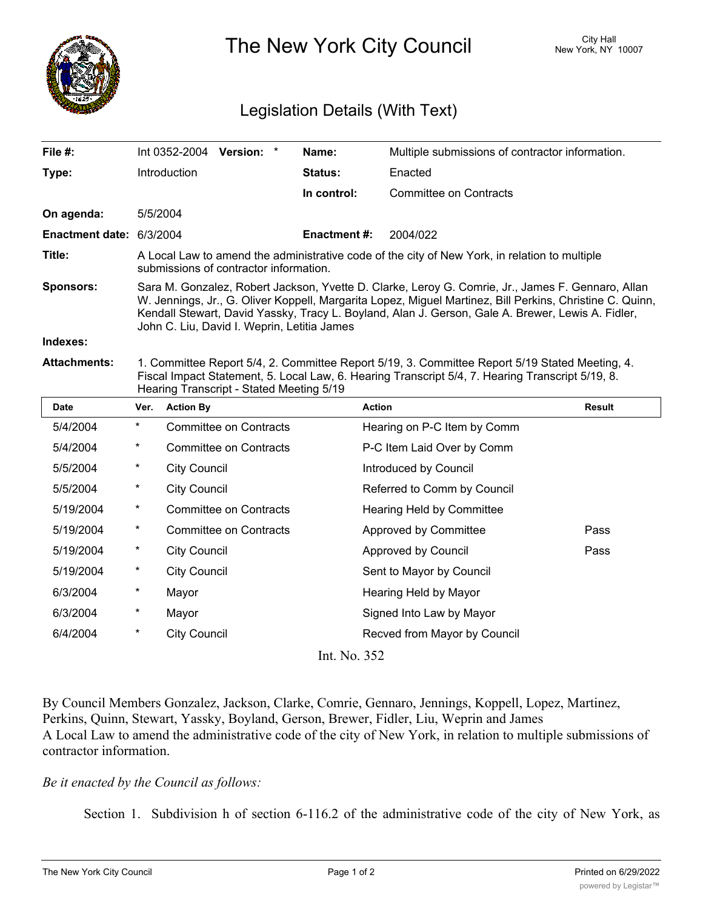

The New York City Council New York, NY 10007

## Legislation Details (With Text)

| File #:                  |                                                                                                                                                                                                                                                                                                                                                                   | Int 0352-2004 Version: * |                               |  | Name:              | Multiple submissions of contractor information. |        |
|--------------------------|-------------------------------------------------------------------------------------------------------------------------------------------------------------------------------------------------------------------------------------------------------------------------------------------------------------------------------------------------------------------|--------------------------|-------------------------------|--|--------------------|-------------------------------------------------|--------|
| Type:                    |                                                                                                                                                                                                                                                                                                                                                                   | Introduction             |                               |  | Status:            | Enacted                                         |        |
|                          |                                                                                                                                                                                                                                                                                                                                                                   |                          |                               |  | In control:        | <b>Committee on Contracts</b>                   |        |
| On agenda:               | 5/5/2004                                                                                                                                                                                                                                                                                                                                                          |                          |                               |  |                    |                                                 |        |
| Enactment date: 6/3/2004 |                                                                                                                                                                                                                                                                                                                                                                   |                          |                               |  | <b>Enactment#:</b> | 2004/022                                        |        |
| Title:                   | A Local Law to amend the administrative code of the city of New York, in relation to multiple<br>submissions of contractor information.                                                                                                                                                                                                                           |                          |                               |  |                    |                                                 |        |
| Sponsors:                | Sara M. Gonzalez, Robert Jackson, Yvette D. Clarke, Leroy G. Comrie, Jr., James F. Gennaro, Allan<br>W. Jennings, Jr., G. Oliver Koppell, Margarita Lopez, Miguel Martinez, Bill Perkins, Christine C. Quinn,<br>Kendall Stewart, David Yassky, Tracy L. Boyland, Alan J. Gerson, Gale A. Brewer, Lewis A. Fidler,<br>John C. Liu, David I. Weprin, Letitia James |                          |                               |  |                    |                                                 |        |
| Indexes:                 |                                                                                                                                                                                                                                                                                                                                                                   |                          |                               |  |                    |                                                 |        |
| <b>Attachments:</b>      | 1. Committee Report 5/4, 2. Committee Report 5/19, 3. Committee Report 5/19 Stated Meeting, 4.<br>Fiscal Impact Statement, 5. Local Law, 6. Hearing Transcript 5/4, 7. Hearing Transcript 5/19, 8.<br>Hearing Transcript - Stated Meeting 5/19                                                                                                                    |                          |                               |  |                    |                                                 |        |
|                          |                                                                                                                                                                                                                                                                                                                                                                   |                          |                               |  |                    |                                                 |        |
| <b>Date</b>              | Ver.                                                                                                                                                                                                                                                                                                                                                              | <b>Action By</b>         |                               |  |                    | <b>Action</b>                                   | Result |
| 5/4/2004                 | $\star$                                                                                                                                                                                                                                                                                                                                                           |                          | <b>Committee on Contracts</b> |  |                    | Hearing on P-C Item by Comm                     |        |
| 5/4/2004                 | $^\star$                                                                                                                                                                                                                                                                                                                                                          |                          | <b>Committee on Contracts</b> |  |                    | P-C Item Laid Over by Comm                      |        |
| 5/5/2004                 | $\star$                                                                                                                                                                                                                                                                                                                                                           | <b>City Council</b>      |                               |  |                    | Introduced by Council                           |        |
| 5/5/2004                 | $\star$                                                                                                                                                                                                                                                                                                                                                           | <b>City Council</b>      |                               |  |                    | Referred to Comm by Council                     |        |
| 5/19/2004                | $^{\star}$                                                                                                                                                                                                                                                                                                                                                        |                          | <b>Committee on Contracts</b> |  |                    | Hearing Held by Committee                       |        |
| 5/19/2004                | $\ast$                                                                                                                                                                                                                                                                                                                                                            |                          | <b>Committee on Contracts</b> |  |                    | Approved by Committee                           | Pass   |
| 5/19/2004                | $^\star$                                                                                                                                                                                                                                                                                                                                                          | <b>City Council</b>      |                               |  |                    | Approved by Council                             | Pass   |
| 5/19/2004                | $^\star$                                                                                                                                                                                                                                                                                                                                                          | <b>City Council</b>      |                               |  |                    | Sent to Mayor by Council                        |        |
| 6/3/2004                 | $\star$                                                                                                                                                                                                                                                                                                                                                           | Mayor                    |                               |  |                    | Hearing Held by Mayor                           |        |
| 6/3/2004                 | $^{\star}$                                                                                                                                                                                                                                                                                                                                                        | Mayor                    |                               |  |                    | Signed Into Law by Mayor                        |        |
| 6/4/2004                 | $^\star$                                                                                                                                                                                                                                                                                                                                                          | <b>City Council</b>      |                               |  |                    | Recved from Mayor by Council                    |        |

Int. No. 352

By Council Members Gonzalez, Jackson, Clarke, Comrie, Gennaro, Jennings, Koppell, Lopez, Martinez, Perkins, Quinn, Stewart, Yassky, Boyland, Gerson, Brewer, Fidler, Liu, Weprin and James A Local Law to amend the administrative code of the city of New York, in relation to multiple submissions of contractor information.

## *Be it enacted by the Council as follows:*

Section 1. Subdivision h of section 6-116.2 of the administrative code of the city of New York, as